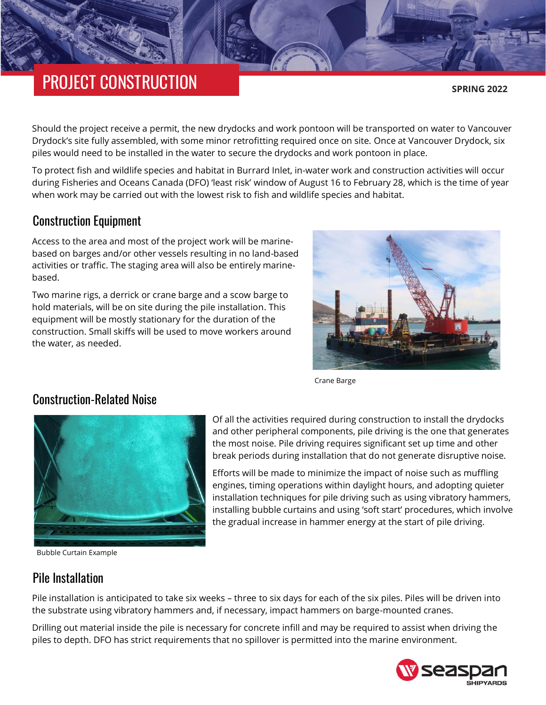# PROJECT CONSTRUCTION

**SPRING 2022**

Should the project receive a permit, the new drydocks and work pontoon will be transported on water to Vancouver Drydock's site fully assembled, with some minor retrofitting required once on site. Once at Vancouver Drydock, six piles would need to be installed in the water to secure the drydocks and work pontoon in place.

To protect fish and wildlife species and habitat in Burrard Inlet, in-water work and construction activities will occur during Fisheries and Oceans Canada (DFO) 'least risk' window of August 16 to February 28, which is the time of year when work may be carried out with the lowest risk to fish and wildlife species and habitat.

## Construction Equipment

Access to the area and most of the project work will be marinebased on barges and/or other vessels resulting in no land-based activities or traffic. The staging area will also be entirely marinebased.

Two marine rigs, a derrick or crane barge and a scow barge to hold materials, will be on site during the pile installation. This equipment will be mostly stationary for the duration of the construction. Small skiffs will be used to move workers around the water, as needed.



Crane Barge

## Construction-Related Noise



Bubble Curtain Example

Of all the activities required during construction to install the drydocks and other peripheral components, pile driving is the one that generates the most noise. Pile driving requires significant set up time and other break periods during installation that do not generate disruptive noise.

Efforts will be made to minimize the impact of noise such as muffling engines, timing operations within daylight hours, and adopting quieter installation techniques for pile driving such as using vibratory hammers, installing bubble curtains and using 'soft start' procedures, which involve the gradual increase in hammer energy at the start of pile driving.

#### Pile Installation

Pile installation is anticipated to take six weeks – three to six days for each of the six piles. Piles will be driven into the substrate using vibratory hammers and, if necessary, impact hammers on barge-mounted cranes.

Drilling out material inside the pile is necessary for concrete infill and may be required to assist when driving the piles to depth. DFO has strict requirements that no spillover is permitted into the marine environment.